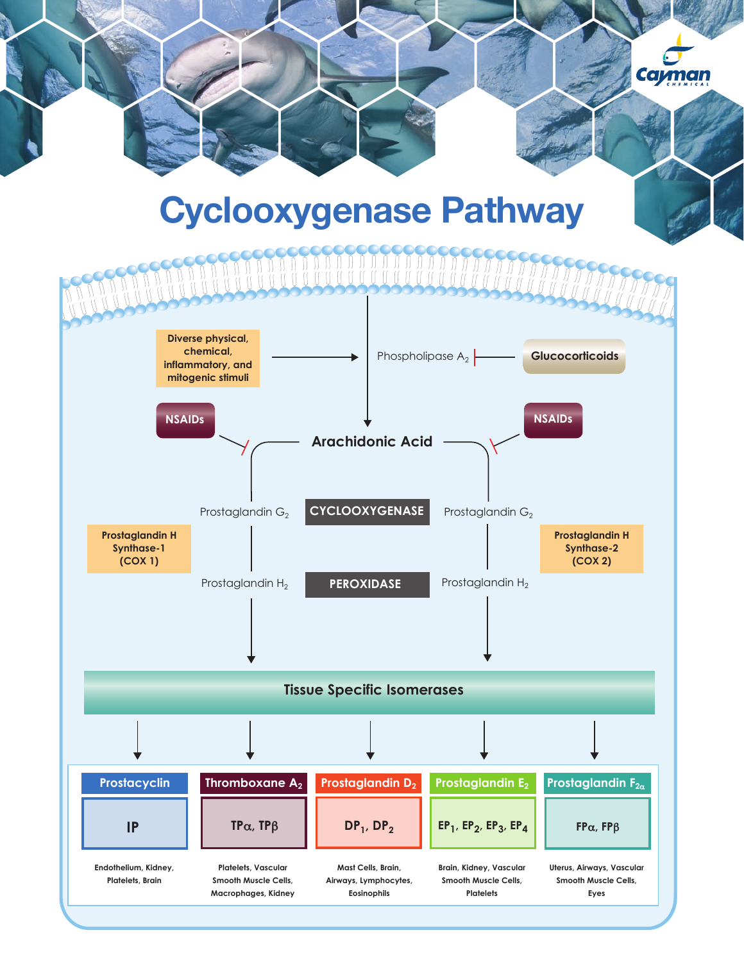## Cyclooxygenase Pathway

**Cayman** 

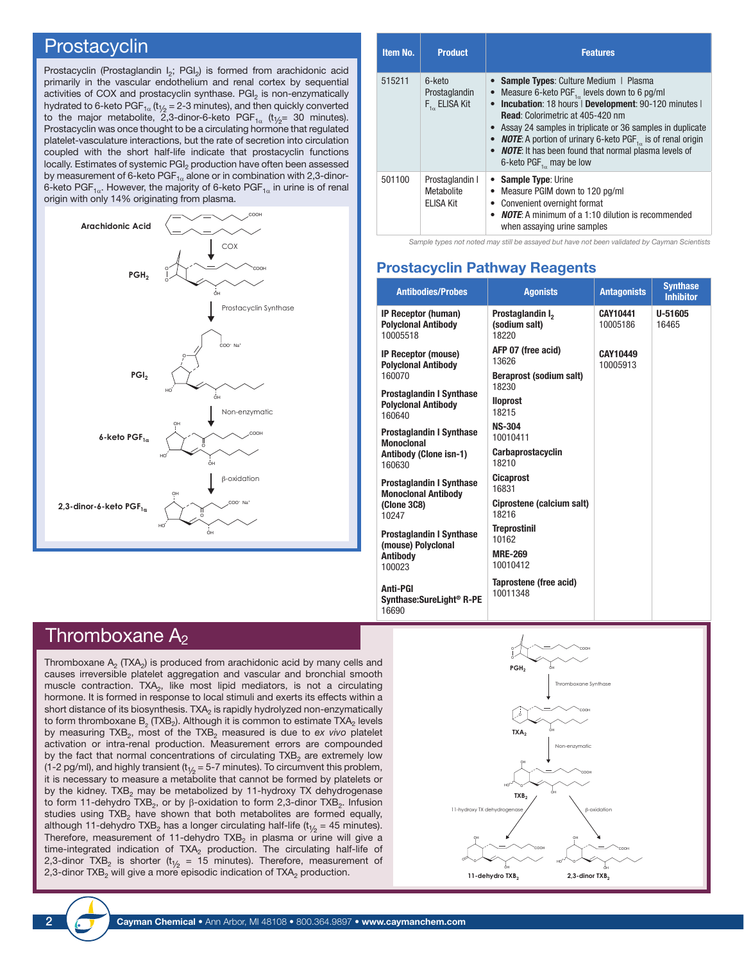### **Prostacyclin**

Prostacyclin (Prostaglandin I<sub>2</sub>; PGI<sub>2</sub>) is formed from arachidonic acid primarily in the vascular endothelium and renal cortex by sequential activities of COX and prostacyclin synthase. PGI<sub>2</sub> is non-enzymatically hydrated to 6-keto  $PGF_{1\alpha}$  (t<sub>1/2</sub> = 2-3 minutes), and then quickly converted to the major metabolite, 2,3-dinor-6-keto PGF<sub>1 $\alpha$ </sub> (t<sub>1/2</sub>= 30 minutes). Prostacyclin was once thought to be a circulating hormone that regulated platelet-vasculature interactions, but the rate of secretion into circulation coupled with the short half-life indicate that prostacyclin functions locally. Estimates of systemic PGI<sub>2</sub> production have often been assessed by measurement of 6-keto  $PGF_{1\alpha}$  alone or in combination with 2,3-dinor-6-keto PGF<sub>1 $\alpha$ </sub>. However, the majority of 6-keto PGF<sub>1 $\alpha$ </sub> in urine is of renal origin with only 14% originating from plasma.



| Item No. | <b>Product</b>                                     | <b>Features</b>                                                                                                                                                                                                                                                                                                                                                                                                                                      |
|----------|----------------------------------------------------|------------------------------------------------------------------------------------------------------------------------------------------------------------------------------------------------------------------------------------------------------------------------------------------------------------------------------------------------------------------------------------------------------------------------------------------------------|
| 515211   | 6-keto<br>Prostaglandin<br>$F_{1\alpha}$ ELISA Kit | • Sample Types: Culture Medium   Plasma<br>Measure 6-keto PGF $_{1}$ levels down to 6 pg/ml<br>• Incubation: 18 hours   Development: 90-120 minutes  <br><b>Read:</b> Colorimetric at 405-420 nm<br>• Assay 24 samples in triplicate or 36 samples in duplicate<br>• <b>NOTE:</b> A portion of urinary 6-keto PGF <sub>1,0</sub> is of renal origin<br>• <b>NOTE:</b> It has been found that normal plasma levels of<br>6-keto $PGF_{1a}$ may be low |
| 501100   | Prostaglandin I<br>Metabolite<br>ELISA Kit         | • Sample Type: Urine<br>• Measure PGIM down to 120 pg/ml<br>• Convenient overnight format<br>• <b>NOTE:</b> A minimum of a 1:10 dilution is recommended<br>when assaying urine samples                                                                                                                                                                                                                                                               |

*Sample types not noted may still be assayed but have not been validated by Cayman Scientists*

#### Prostacyclin Pathway Reagents

| <b>Antibodies/Probes</b>                                                | <b>Agonists</b>                                        | <b>Antagonists</b>   | <b>Synthase</b><br><b>Inhibitor</b> |
|-------------------------------------------------------------------------|--------------------------------------------------------|----------------------|-------------------------------------|
| IP Receptor (human)<br><b>Polyclonal Antibody</b><br>10005518           | Prostaglandin I <sub>2</sub><br>(sodium salt)<br>18220 | CAY10441<br>10005186 | U-51605<br>16465                    |
| IP Receptor (mouse)<br><b>Polyclonal Antibody</b>                       | AFP 07 (free acid)<br>13626                            | CAY10449<br>10005913 |                                     |
| 160070                                                                  | <b>Beraprost (sodium salt)</b><br>18230                |                      |                                     |
| <b>Prostaglandin I Synthase</b><br><b>Polyclonal Antibody</b><br>160640 | <b>Iloprost</b><br>18215                               |                      |                                     |
| <b>Prostaglandin I Synthase</b><br><b>Monoclonal</b>                    | <b>NS-304</b><br>10010411                              |                      |                                     |
| Antibody (Clone isn-1)<br>160630                                        | <b>Carbaprostacyclin</b><br>18210                      |                      |                                     |
| <b>Prostaglandin I Synthase</b><br><b>Monoclonal Antibody</b>           | <b>Cicaprost</b><br>16831                              |                      |                                     |
| (Clone 3C8)<br>10247                                                    | Ciprostene (calcium salt)<br>18216                     |                      |                                     |
| <b>Prostaglandin I Synthase</b><br>(mouse) Polyclonal                   | <b>Treprostinil</b><br>10162                           |                      |                                     |
| <b>Antibody</b><br>100023                                               | <b>MRE-269</b><br>10010412                             |                      |                                     |
| <b>Anti-PGI</b><br>Synthase:SureLight <sup>®</sup> R-PE<br>16690        | Taprostene (free acid)<br>10011348                     |                      |                                     |

## Thromboxane  $A_2$

Thromboxane  $A_2$  (TXA<sub>2</sub>) is produced from arachidonic acid by many cells and causes irreversible platelet aggregation and vascular and bronchial smooth muscle contraction. TXA<sub>2</sub>, like most lipid mediators, is not a circulating hormone. It is formed in response to local stimuli and exerts its effects within a short distance of its biosynthesis. TXA<sub>2</sub> is rapidly hydrolyzed non-enzymatically to form thromboxane  $\mathsf{B}_2^{}$  (TXB $_2$ ). Although it is common to estimate TXA $_2^{}$  levels by measuring TXB<sub>2</sub>, most of the TXB<sub>2</sub> measured is due to *ex vivo* platelet activation or intra-renal production. Measurement errors are compounded by the fact that normal concentrations of circulating  $TXB<sub>2</sub>$  are extremely low (1-2 pg/ml), and highly transient ( $t_{1/2}$  = 5-7 minutes). To circumvent this problem, it is necessary to measure a metabolite that cannot be formed by platelets or by the kidney. TXB<sub>2</sub> may be metabolized by 11-hydroxy TX dehydrogenase to form 11-dehydro TXB<sub>2</sub>, or by β-oxidation to form 2,3-dinor TXB<sub>2</sub>. Infusion studies using  $TXB<sub>2</sub>$  have shown that both metabolites are formed equally, although 11-dehydro TXB<sub>2</sub> has a longer circulating half-life (t<sub>1/2</sub> = 45 minutes). Therefore, measurement of 11-dehydro TXB<sub>2</sub> in plasma or  $\overline{u}$ rine will give a time-integrated indication of TXA<sub>2</sub> production. The circulating half-life of 2,3-dinor TXB<sub>2</sub> is shorter (t<sub>1/2</sub> = 15 minutes). Therefore, measurement of 2,3-dinor  $TXB<sub>2</sub>$  will give a more episodic indication of  $TXA<sub>2</sub>$  production.

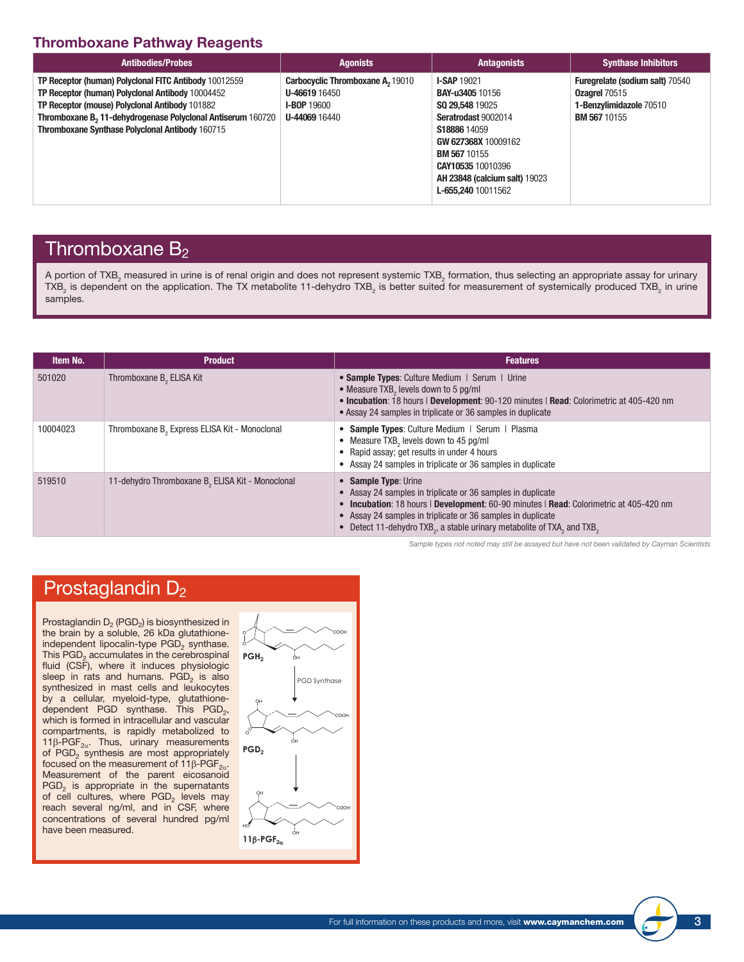## Thromboxane Pathway Reagents

| <b>Antibodies/Probes</b>                                                                                                                                                                                                                                                                  | <b>Agonists</b>                                                                                 | <b>Antagonists</b>                                                                                                                                                                                                                      | <b>Synthase Inhibitors</b>                                                                                       |
|-------------------------------------------------------------------------------------------------------------------------------------------------------------------------------------------------------------------------------------------------------------------------------------------|-------------------------------------------------------------------------------------------------|-----------------------------------------------------------------------------------------------------------------------------------------------------------------------------------------------------------------------------------------|------------------------------------------------------------------------------------------------------------------|
| TP Receptor (human) Polyclonal FITC Antibody 10012559<br>TP Receptor (human) Polyclonal Antibody 10004452<br>TP Receptor (mouse) Polyclonal Antibody 101882<br>Thromboxane B <sub>2</sub> 11-dehydrogenase Polyclonal Antiserum 160720<br>Thromboxane Synthase Polyclonal Antibody 160715 | Carbocyclic Thromboxane A, 19010<br><b>U-46619 16450</b><br><b>I-BOP 19600</b><br>U-44069 16440 | <b>I-SAP 19021</b><br><b>BAY-u3405 10156</b><br>SQ 29,548 19025<br>Seratrodast 9002014<br>S18886 14059<br>GW 627368X 10009162<br><b>BM 567 10155</b><br>CAY10535 10010396<br><b>AH 23848 (calcium salt) 19023</b><br>L-655,240 10011562 | <b>Furegrelate (sodium salt) 70540</b><br><b>Ozagrel 70515</b><br>1-Benzylimidazole 70510<br><b>BM 567 10155</b> |

## Thromboxane  $B_2$

A portion of TXB<sub>2</sub> measured in urine is of renal origin and does not represent systemic TXB<sub>2</sub> formation, thus selecting an appropriate assay for urinary TXB<sub>2</sub> is dependent on the application. The TX metabolite 11-dehydro TXB<sub>2</sub> is better suited for measurement of systemically produced TXB<sub>2</sub> in urine samples.

| Item No. | <b>Product</b>                                               | <b>Features</b>                                                                                                                                                                                                                                                                                                                                             |
|----------|--------------------------------------------------------------|-------------------------------------------------------------------------------------------------------------------------------------------------------------------------------------------------------------------------------------------------------------------------------------------------------------------------------------------------------------|
| 501020   | Thromboxane B <sub>2</sub> ELISA Kit                         | • Sample Types: Culture Medium   Serum   Urine<br>• Measure TXB, levels down to 5 pg/ml<br>. Incubation: 18 hours   Development: 90-120 minutes   Read: Colorimetric at 405-420 nm<br>• Assay 24 samples in triplicate or 36 samples in duplicate                                                                                                           |
| 10004023 | Thromboxane B <sub>2</sub> Express ELISA Kit - Monoclonal    | • Sample Types: Culture Medium   Serum   Plasma<br>• Measure TXB <sub>2</sub> levels down to 45 pg/ml<br>• Rapid assay; get results in under 4 hours<br>• Assay 24 samples in triplicate or 36 samples in duplicate                                                                                                                                         |
| 519510   | 11-dehydro Thromboxane B <sub>2</sub> ELISA Kit - Monoclonal | • Sample Type: Urine<br>• Assay 24 samples in triplicate or 36 samples in duplicate<br>• Incubation: 18 hours   Development: 60-90 minutes   Read: Colorimetric at 405-420 nm<br>• Assay 24 samples in triplicate or 36 samples in duplicate<br>• Detect 11-dehydro TXB <sub>2</sub> , a stable urinary metabolite of TXA <sub>2</sub> and TXB <sub>2</sub> |

*Sample types not noted may still be assayed but have not been validated by Cayman Scientists*

## Prostaglandin D<sub>2</sub>

Prostaglandin  $D_2$  (PGD<sub>2</sub>) is biosynthesized in the brain by a soluble, 26 kDa glutathioneindependent lipocalin-type PGD<sub>2</sub> synthase. This  $PGD<sub>2</sub>$  accumulates in the cerebrospinal fluid (CSF), where it induces physiologic sleep in rats and humans.  $PGD<sub>2</sub>$  is also synthesized in mast cells and leukocytes by a cellular, myeloid-type, glutathionedependent PGD synthase. This  $PGD_2$ , which is formed in intracellular and vascular compartments, is rapidly metabolized to 11β-PGF<sub>2α</sub>. Thus, urinary measurements of  $PGD_2$  synthesis are most appropriately focused on the measurement of 11β-PGF<sub>2α</sub>. Measurement of the parent eicosanoid  $PGD<sub>2</sub>$  is appropriate in the supernatants of cell cultures, where  $PGD<sub>2</sub>$  levels may reach several ng/ml, and in CSF, where concentrations of several hundred pg/ml have been measured.

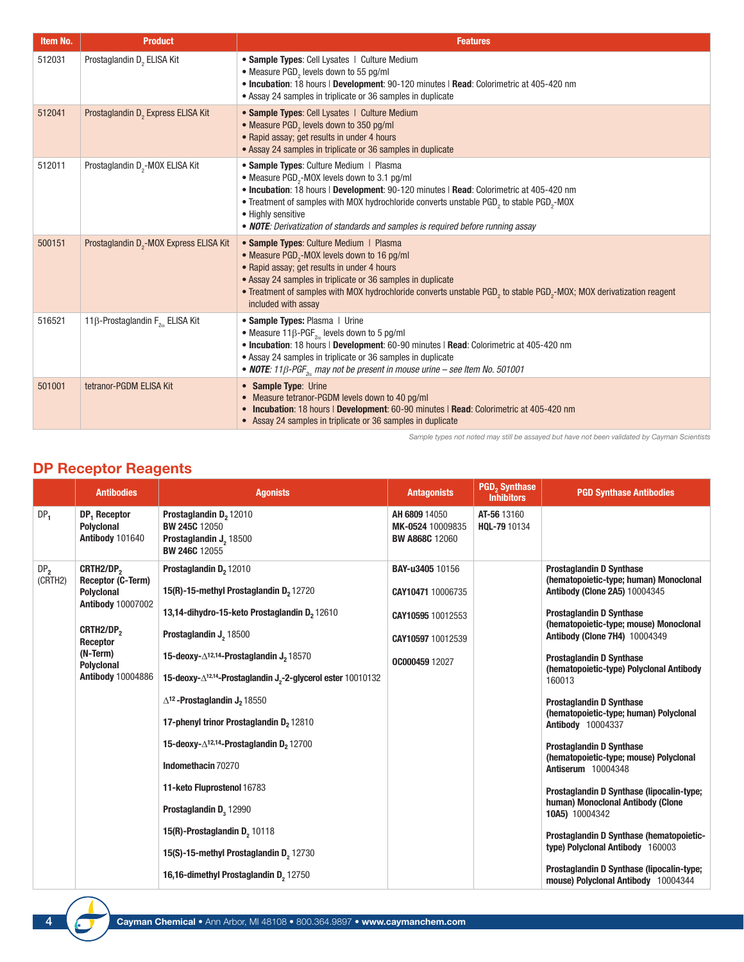| Item No. | <b>Product</b>                                      | <b>Features</b>                                                                                                                                                                                                                                                                                                                                                                                                              |
|----------|-----------------------------------------------------|------------------------------------------------------------------------------------------------------------------------------------------------------------------------------------------------------------------------------------------------------------------------------------------------------------------------------------------------------------------------------------------------------------------------------|
| 512031   | Prostaglandin D <sub>2</sub> ELISA Kit              | • Sample Types: Cell Lysates   Culture Medium<br>• Measure PGD, levels down to 55 pg/ml<br>. Incubation: 18 hours   Development: 90-120 minutes   Read: Colorimetric at 405-420 nm<br>• Assay 24 samples in triplicate or 36 samples in duplicate                                                                                                                                                                            |
| 512041   | Prostaglandin D <sub>2</sub> Express ELISA Kit      | • Sample Types: Cell Lysates   Culture Medium<br>• Measure PGD <sub>2</sub> levels down to 350 pg/ml<br>• Rapid assay; get results in under 4 hours<br>• Assay 24 samples in triplicate or 36 samples in duplicate                                                                                                                                                                                                           |
| 512011   | Prostaglandin D <sub>2</sub> -MOX ELISA Kit         | • Sample Types: Culture Medium   Plasma<br>• Measure PGD <sub>2</sub> -MOX levels down to 3.1 pg/ml<br>. Incubation: 18 hours   Development: 90-120 minutes   Read: Colorimetric at 405-420 nm<br>• Treatment of samples with MOX hydrochloride converts unstable PGD <sub>2</sub> to stable PGD <sub>2</sub> -MOX<br>• Highly sensitive<br>• NOTE: Derivatization of standards and samples is required before running assay |
| 500151   | Prostaglandin D <sub>2</sub> -MOX Express ELISA Kit | • Sample Types: Culture Medium   Plasma<br>• Measure PGD <sub>2</sub> -MOX levels down to 16 pg/ml<br>• Rapid assay; get results in under 4 hours<br>• Assay 24 samples in triplicate or 36 samples in duplicate<br>• Treatment of samples with MOX hydrochloride converts unstable PGD <sub>2</sub> to stable PGD <sub>2</sub> -MOX; MOX derivatization reagent<br>included with assay                                      |
| 516521   | 11 $\beta$ -Prostaglandin F <sub>20</sub> ELISA Kit | • Sample Types: Plasma   Urine<br>• Measure 11 $\beta$ -PGF <sub>2a</sub> levels down to 5 pg/ml<br>. Incubation: 18 hours   Development: 60-90 minutes   Read: Colorimetric at 405-420 nm<br>• Assay 24 samples in triplicate or 36 samples in duplicate<br>• NOTE: 11 $\beta$ -PGF <sub>2</sub> , may not be present in mouse urine – see Item No. 501001                                                                  |
| 501001   | tetranor-PGDM ELISA Kit                             | • Sample Type: Urine<br>• Measure tetranor-PGDM levels down to 40 pg/ml<br>• Incubation: 18 hours   Development: 60-90 minutes   Read: Colorimetric at 405-420 nm<br>• Assay 24 samples in triplicate or 36 samples in duplicate                                                                                                                                                                                             |

*Sample types not noted may still be assayed but have not been validated by Cayman Scientists*

## DP Receptor Reagents

|                            | <b>Antibodies</b>                                                                           | <b>Agonists</b>                                                                                              | <b>Antagonists</b>                                         | <b>PGD<sub>2</sub> Synthase</b><br><b>Inhibitors</b> | <b>PGD Synthase Antibodies</b>                                                                                    |
|----------------------------|---------------------------------------------------------------------------------------------|--------------------------------------------------------------------------------------------------------------|------------------------------------------------------------|------------------------------------------------------|-------------------------------------------------------------------------------------------------------------------|
| DP <sub>1</sub>            | DP <sub>1</sub> Receptor<br><b>Polyclonal</b><br>Antibody 101640                            | Prostaglandin D <sub>2</sub> 12010<br><b>BW 245C 12050</b><br>Prostaglandin J. 18500<br><b>BW 246C 12055</b> | AH 6809 14050<br>MK-0524 10009835<br><b>BW A868C 12060</b> | AT-56 13160<br>HQL-79 10134                          |                                                                                                                   |
| DP <sub>2</sub><br>(CRTH2) | CRTH2/DP <sub>2</sub><br>Receptor (C-Term)<br><b>Polyclonal</b><br><b>Antibody 10007002</b> | Prostaglandin D <sub>2</sub> 12010<br>15(R)-15-methyl Prostaglandin D <sub>2</sub> 12720                     | <b>BAY-u3405 10156</b><br>CAY10471 10006735                |                                                      | <b>Prostaglandin D Synthase</b><br>(hematopoietic-type; human) Monoclonal<br><b>Antibody (Clone 2A5) 10004345</b> |
|                            |                                                                                             | 13,14-dihydro-15-keto Prostaglandin D <sub>2</sub> 12610                                                     | CAY10595 10012553                                          |                                                      | <b>Prostaglandin D Synthase</b>                                                                                   |
|                            | CRTH2/DP <sub>2</sub><br>Receptor                                                           | Prostaglandin J <sub>2</sub> 18500                                                                           | CAY10597 10012539                                          |                                                      | (hematopoietic-type; mouse) Monoclonal<br><b>Antibody (Clone 7H4) 10004349</b>                                    |
|                            | (N-Term)<br><b>Polyclonal</b><br><b>Antibody 10004886</b>                                   | 15-deoxy-∆ <sup>12,14</sup> -Prostaglandin J <sub>2</sub> 18570                                              | OC000459 12027                                             |                                                      | <b>Prostaglandin D Synthase</b>                                                                                   |
|                            |                                                                                             | 15-deoxy- $\Delta$ <sup>12,14</sup> -Prostaglandin J <sub>2</sub> -2-glycerol ester 10010132                 |                                                            |                                                      | (hematopoietic-type) Polyclonal Antibody<br>160013                                                                |
|                            |                                                                                             | $\Delta$ <sup>12</sup> - Prostaglandin J <sub>2</sub> 18550                                                  |                                                            |                                                      | <b>Prostaglandin D Synthase</b>                                                                                   |
|                            |                                                                                             | 17-phenyl trinor Prostaglandin D <sub>2</sub> 12810                                                          |                                                            |                                                      | (hematopoietic-type; human) Polyclonal<br>Antibody 10004337                                                       |
|                            |                                                                                             | 15-deoxy- $\Delta$ <sup>12,14</sup> -Prostaglandin D <sub>2</sub> 12700                                      |                                                            |                                                      | <b>Prostaglandin D Synthase</b>                                                                                   |
|                            |                                                                                             | Indomethacin 70270                                                                                           |                                                            |                                                      | (hematopoietic-type; mouse) Polyclonal<br><b>Antiserum 10004348</b>                                               |
|                            |                                                                                             | 11-keto Fluprostenol 16783                                                                                   |                                                            |                                                      | Prostaglandin D Synthase (lipocalin-type;                                                                         |
|                            |                                                                                             | Prostaglandin D, 12990                                                                                       |                                                            |                                                      | human) Monoclonal Antibody (Clone<br>10A5) 10004342                                                               |
|                            |                                                                                             | 15(R)-Prostaglandin D <sub>2</sub> 10118                                                                     |                                                            |                                                      | Prostaglandin D Synthase (hematopoietic-                                                                          |
|                            |                                                                                             | 15(S)-15-methyl Prostaglandin D <sub>2</sub> 12730                                                           |                                                            |                                                      | type) Polyclonal Antibody 160003                                                                                  |
|                            |                                                                                             | 16,16-dimethyl Prostaglandin D, 12750                                                                        |                                                            |                                                      | Prostaglandin D Synthase (lipocalin-type;<br>mouse) Polyclonal Antibody 10004344                                  |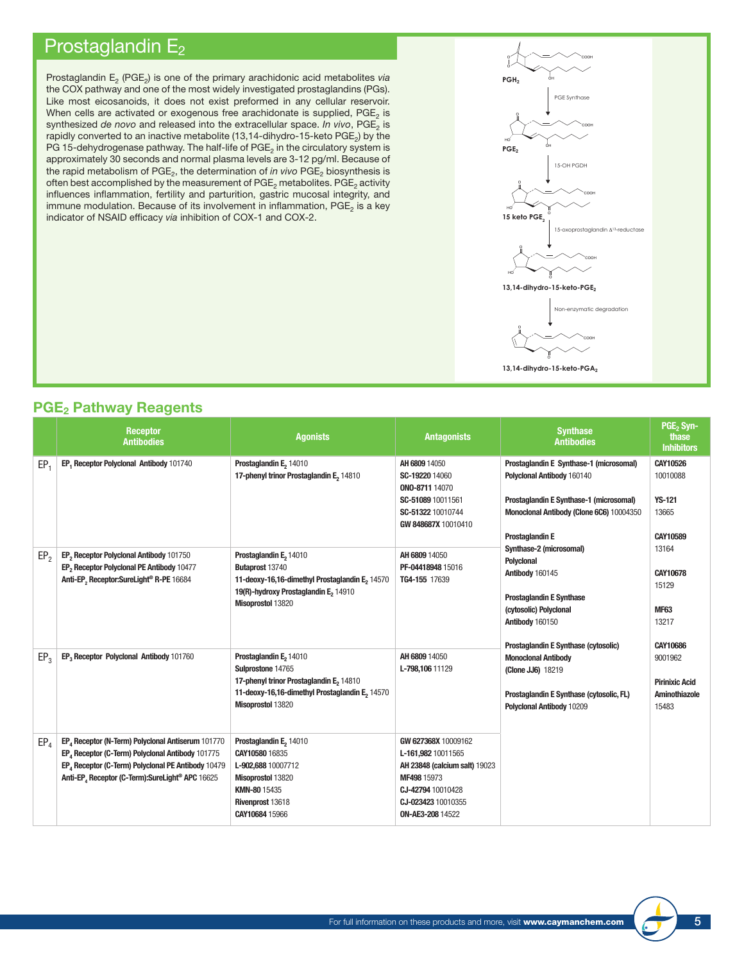## Prostaglandin E<sub>2</sub>

Prostaglandin E<sub>2</sub> (PGE<sub>2</sub>) is one of the primary arachidonic acid metabolites *via* the COX pathway and one of the most widely investigated prostaglandins (PGs). Like most eicosanoids, it does not exist preformed in any cellular reservoir. When cells are activated or exogenous free arachidonate is supplied,  $PGE_2$  is synthesized *de novo* and released into the extracellular space. *In vivo*, PGE<sub>2</sub> is rapidly converted to an inactive metabolite (13,14-dihydro-15-keto  $PGE<sub>2</sub>$ ) by the PG 15-dehydrogenase pathway. The half-life of  $PGE<sub>2</sub>$  in the circulatory system is approximately 30 seconds and normal plasma levels are 3-12 pg/ml. Because of the rapid metabolism of PGE<sub>2</sub>, the determination of *in vivo* PGE<sub>2</sub> biosynthesis is often best accomplished by the measurement of PGE<sub>2</sub> metabolites. PGE<sub>2</sub> activity influences inflammation, fertility and parturition, gastric mucosal integrity, and immune modulation. Because of its involvement in inflammation,  $PGE<sub>2</sub>$  is a key indicator of NSAID efficacy *via* inhibition of COX-1 and COX-2.



### **PGE**<sub>2</sub> Pathway Reagents

|                 | <b>Receptor</b>                                                                                                                                                                                                                        | <b>Agonists</b>                                                                                                                                                           | <b>Antagonists</b>                                                                                                                                       | <b>Synthase</b>                                                                                                                                                                                                                                                                                                                                                                                                                                                                                               | PGE <sub>2</sub> Syn-<br>thase                                                                                                      |  |  |  |                                                            |
|-----------------|----------------------------------------------------------------------------------------------------------------------------------------------------------------------------------------------------------------------------------------|---------------------------------------------------------------------------------------------------------------------------------------------------------------------------|----------------------------------------------------------------------------------------------------------------------------------------------------------|---------------------------------------------------------------------------------------------------------------------------------------------------------------------------------------------------------------------------------------------------------------------------------------------------------------------------------------------------------------------------------------------------------------------------------------------------------------------------------------------------------------|-------------------------------------------------------------------------------------------------------------------------------------|--|--|--|------------------------------------------------------------|
|                 | <b>Antibodies</b>                                                                                                                                                                                                                      |                                                                                                                                                                           |                                                                                                                                                          | <b>Antibodies</b>                                                                                                                                                                                                                                                                                                                                                                                                                                                                                             | <b>Inhibitors</b>                                                                                                                   |  |  |  |                                                            |
| EP <sub>1</sub> | EP, Receptor Polyclonal Antibody 101740                                                                                                                                                                                                | Prostaglandin E <sub>2</sub> 14010<br>17-phenyl trinor Prostaglandin E, 14810                                                                                             | AH 6809 14050<br>SC-19220 14060<br>ONO-8711 14070<br>SC-51089 10011561<br>SC-51322 10010744<br>GW 848687X 10010410                                       | Prostaglandin E Synthase-1 (microsomal)<br>Polyclonal Antibody 160140<br>Prostaglandin E Synthase-1 (microsomal)<br>Monoclonal Antibody (Clone 6C6) 10004350<br><b>Prostaglandin E</b><br>Synthase-2 (microsomal)<br>Polyclonal<br>Antibody 160145<br><b>Prostaglandin E Synthase</b><br>(cytosolic) Polyclonal<br>Antibody 160150<br><b>Prostaglandin E Synthase (cytosolic)</b><br><b>Monoclonal Antibody</b><br>(Clone JJ6) 18219<br>Prostaglandin E Synthase (cytosolic, FL)<br>Polyclonal Antibody 10209 |                                                                                                                                     |  |  |  | CAY10526<br>10010088<br><b>YS-121</b><br>13665<br>CAY10589 |
| EP <sub>2</sub> | EP <sub>2</sub> Receptor Polyclonal Antibody 101750<br>EP <sub>2</sub> Receptor Polyclonal PE Antibody 10477<br>Anti-EP, Receptor:SureLight® R-PE 16684                                                                                | Prostaglandin E <sub>2</sub> 14010<br>Butaprost 13740<br>11-deoxy-16,16-dimethyl Prostaglandin E, 14570<br>19(R)-hydroxy Prostaglandin E, 14910<br>Misoprostol 13820      | AH 6809 14050<br>PF-04418948 15016<br>TG4-155 17639                                                                                                      |                                                                                                                                                                                                                                                                                                                                                                                                                                                                                                               | 13164<br><b>CAY10678</b><br>15129<br><b>MF63</b><br>13217<br>CAY10686<br>9001962<br><b>Pirinixic Acid</b><br>Aminothiazole<br>15483 |  |  |  |                                                            |
| EP <sub>3</sub> | EP <sub>3</sub> Receptor Polyclonal Antibody 101760                                                                                                                                                                                    | Prostaglandin E <sub>2</sub> 14010<br>Sulprostone 14765<br>17-phenyl trinor Prostaglandin E, 14810<br>11-deoxy-16,16-dimethyl Prostaglandin E, 14570<br>Misoprostol 13820 | AH 6809 14050<br>L-798,106 11129                                                                                                                         |                                                                                                                                                                                                                                                                                                                                                                                                                                                                                                               |                                                                                                                                     |  |  |  |                                                            |
| EP <sub>4</sub> | EP <sub>4</sub> Receptor (N-Term) Polyclonal Antiserum 101770<br>EP <sub>4</sub> Receptor (C-Term) Polyclonal Antibody 101775<br>EP, Receptor (C-Term) Polyclonal PE Antibody 10479<br>Anti-EP, Receptor (C-Term):SureLight® APC 16625 | Prostaglandin E <sub>2</sub> 14010<br>CAY10580 16835<br>L-902,688 10007712<br>Misoprostol 13820<br>KMN-80 15435<br>Rivenprost 13618<br>CAY10684 15966                     | GW 627368X 10009162<br>L-161,982 10011565<br>AH 23848 (calcium salt) 19023<br>MF498 15973<br>CJ-42794 10010428<br>CJ-023423 10010355<br>ON-AE3-208 14522 |                                                                                                                                                                                                                                                                                                                                                                                                                                                                                                               |                                                                                                                                     |  |  |  |                                                            |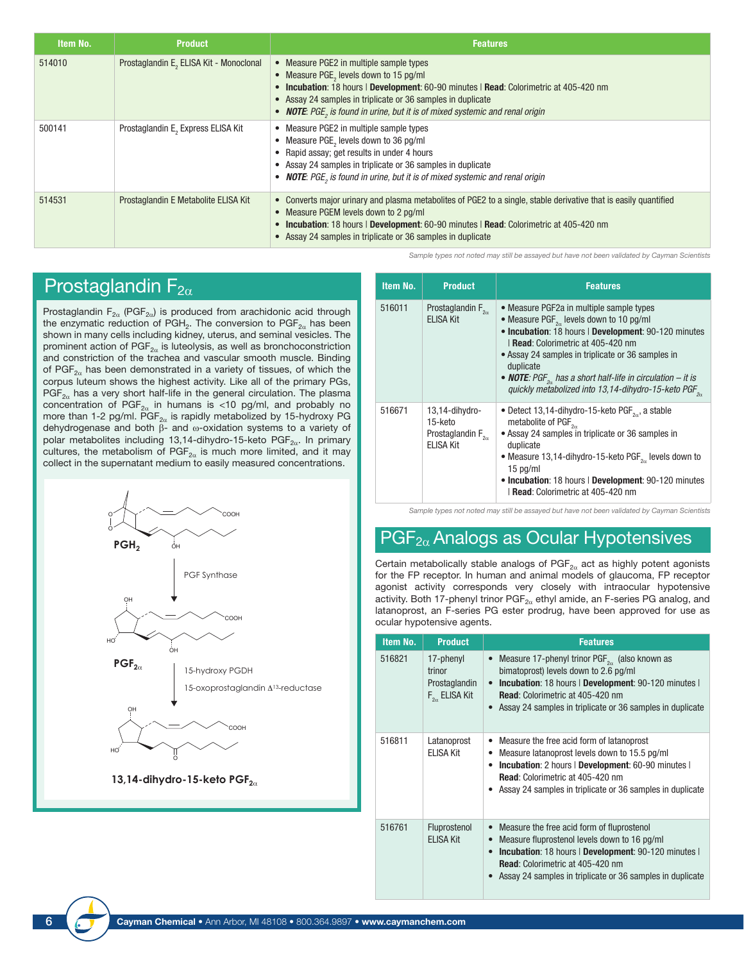| Item No. | <b>Product</b>                                      | <b>Features</b>                                                                                                                                                                                                                                                                                                            |
|----------|-----------------------------------------------------|----------------------------------------------------------------------------------------------------------------------------------------------------------------------------------------------------------------------------------------------------------------------------------------------------------------------------|
| 514010   | Prostaglandin E <sub>2</sub> ELISA Kit - Monoclonal | • Measure PGE2 in multiple sample types<br>• Measure PGE, levels down to 15 pg/ml<br>• Incubation: 18 hours   Development: 60-90 minutes   Read: Colorimetric at 405-420 nm<br>• Assay 24 samples in triplicate or 36 samples in duplicate<br>• NOTE: PGE, is found in urine, but it is of mixed systemic and renal origin |
| 500141   | Prostaglandin E, Express ELISA Kit                  | • Measure PGE2 in multiple sample types<br>Measure PGE, levels down to 36 pg/ml<br>Rapid assay; get results in under 4 hours<br>• Assay 24 samples in triplicate or 36 samples in duplicate<br>• NOTE: PGE, is found in urine, but it is of mixed systemic and renal origin                                                |
| 514531   | Prostaglandin E Metabolite ELISA Kit                | • Converts major urinary and plasma metabolites of PGE2 to a single, stable derivative that is easily quantified<br>• Measure PGEM levels down to 2 pg/ml<br>• Incubation: 18 hours   Development: 60-90 minutes   Read: Colorimetric at 405-420 nm<br>• Assay 24 samples in triplicate or 36 samples in duplicate         |

*Sample types not noted may still be assayed but have not been validated by Cayman Scientists*

## Prostaglandin  $F_{2\alpha}$

Prostaglandin  $F_{2\alpha}$  (PGF<sub>2 $\alpha$ </sub>) is produced from arachidonic acid through the enzymatic reduction of PGH<sub>2</sub>. The conversion to PGF<sub>2 $\alpha$ </sub> has been shown in many cells including kidney, uterus, and seminal vesicles. The prominent action of  $\mathsf{PGF}_{2\alpha}$  is luteolysis, as well as bronchoconstriction and constriction of the trachea and vascular smooth muscle. Binding of PGF<sub>2 $\alpha$ </sub> has been demonstrated in a variety of tissues, of which the corpus luteum shows the highest activity. Like all of the primary PGs, PGF<sub>2 $\alpha$ </sub> has a very short half-life in the general circulation. The plasma concentration of  $PGF_{2\alpha}$  in humans is <10 pg/ml, and probably no more than 1-2 pg/ml. PGF<sub>2 $\alpha$ </sub> is rapidly metabolized by 15-hydroxy PG dehydrogenase and both β- and ω-oxidation systems to a variety of polar metabolites including 13,14-dihydro-15-keto PGF $_{2\alpha}$ . In primary cultures, the metabolism of  $PGF_{2\alpha}$  is much more limited, and it may collect in the supernatant medium to easily measured concentrations.



**13,14-dihydro-15-keto PGF<sub>2α</sub>** 

| Item No. | <b>Product</b>                                                               | <b>Features</b>                                                                                                                                                                                                                                                                                                                                                                                                            |
|----------|------------------------------------------------------------------------------|----------------------------------------------------------------------------------------------------------------------------------------------------------------------------------------------------------------------------------------------------------------------------------------------------------------------------------------------------------------------------------------------------------------------------|
| 516011   | Prostaglandin $F_{2\alpha}$<br><b>ELISA Kit</b>                              | • Measure PGF2a in multiple sample types<br>• Measure PGF <sub>2x</sub> levels down to 10 pg/ml<br>• Incubation: 18 hours   Development: 90-120 minutes<br><b>Read:</b> Colorimetric at 405-420 nm<br>• Assay 24 samples in triplicate or 36 samples in<br>duplicate<br>• <b>NOTE</b> : PGF <sub>2</sub> , has a short half-life in circulation – it is<br>quickly metabolized into 13,14-dihydro-15-keto PGF <sub>2</sub> |
| 516671   | 13,14-dihydro-<br>15-keto<br>Prostaglandin $F_{2\alpha}$<br><b>ELISA Kit</b> | • Detect 13,14-dihydro-15-keto $\mathsf{PGF}_{2n}$ , a stable<br>metabolite of PGF <sub>20</sub><br>• Assay 24 samples in triplicate or 36 samples in<br>duplicate<br>• Measure 13,14-dihydro-15-keto $PGF_{2a}$ levels down to<br>$15$ pg/ml<br>• Incubation: 18 hours   Development: 90-120 minutes<br>Read: Colorimetric at 405-420 nm                                                                                  |

#### *Sample types not noted may still be assayed but have not been validated by Cayman Scientists*

## $PGF<sub>2\alpha</sub>$  Analogs as Ocular Hypotensives

Certain metabolically stable analogs of  $PGF_{2\alpha}$  act as highly potent agonists for the FP receptor. In human and animal models of glaucoma, FP receptor agonist activity corresponds very closely with intraocular hypotensive activity. Both 17-phenyl trinor  $\mathsf{PGF}_{2\alpha}$  ethyl amide, an F-series PG analog, and latanoprost, an F-series PG ester prodrug, have been approved for use as ocular hypotensive agents.

| Item No. | <b>Product</b>                                                  | <b>Features</b>                                                                                                                                                                                                                                                              |
|----------|-----------------------------------------------------------------|------------------------------------------------------------------------------------------------------------------------------------------------------------------------------------------------------------------------------------------------------------------------------|
| 516821   | 17-phenyl<br>trinor<br>Prostaglandin<br>$F_{2\alpha}$ ELISA Kit | Measure 17-phenyl trinor $PGF_{2\alpha}$ (also known as<br>bimatoprost) levels down to 2.6 pg/ml<br><b>Incubation: 18 hours   Development: 90-120 minutes  </b><br><b>Read:</b> Colorimetric at 405-420 nm<br>• Assay 24 samples in triplicate or 36 samples in duplicate    |
| 516811   | Latanoprost<br><b>ELISA Kit</b>                                 | Measure the free acid form of latanoprost<br>$\bullet$<br>Measure latanoprost levels down to 15.5 pg/ml<br><b>Incubation:</b> 2 hours   Development: 60-90 minutes  <br><b>Read:</b> Colorimetric at 405-420 nm<br>Assay 24 samples in triplicate or 36 samples in duplicate |
| 516761   | Fluprostenol<br><b>ELISA Kit</b>                                | Measure the free acid form of fluprostenol<br>Measure fluprostenol levels down to 16 pg/ml<br>Incubation: 18 hours   Development: 90-120 minutes  <br><b>Read:</b> Colorimetric at 405-420 nm<br>Assay 24 samples in triplicate or 36 samples in duplicate                   |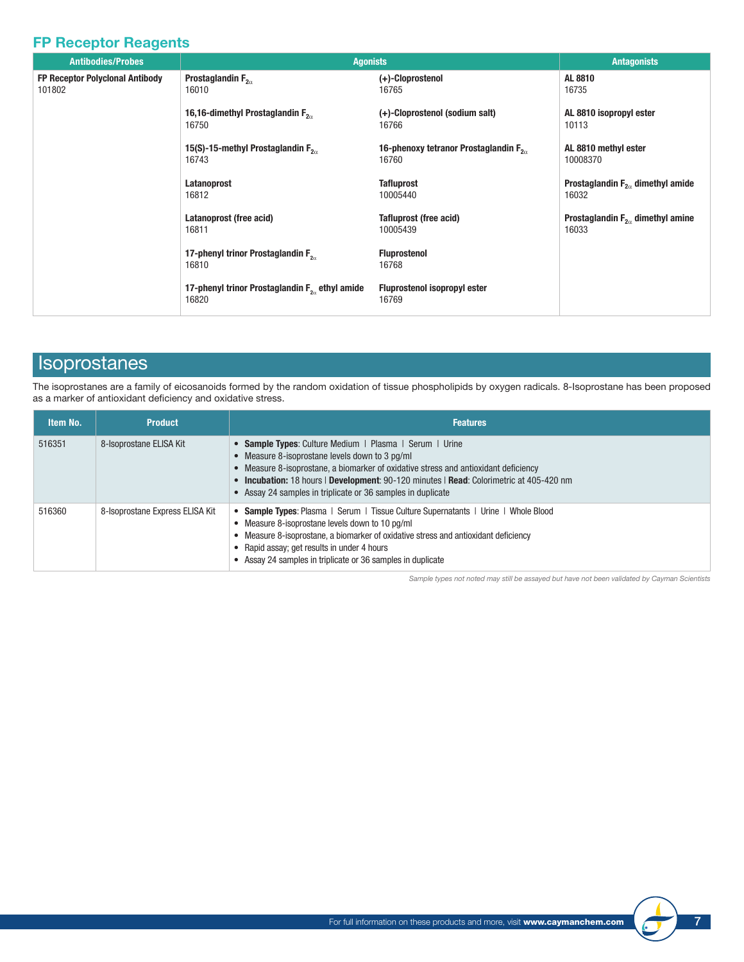## FP Receptor Reagents

| <b>Antibodies/Probes</b>        | <b>Agonists</b>                                                    |                                                 | <b>Antagonists</b>                    |
|---------------------------------|--------------------------------------------------------------------|-------------------------------------------------|---------------------------------------|
| FP Receptor Polyclonal Antibody | Prostaglandin $F_{2\alpha}$                                        | (+)-Cloprostenol                                | AL 8810                               |
| 101802                          | 16010                                                              | 16765                                           | 16735                                 |
|                                 | 16,16-dimethyl Prostaglandin $F_{2a}$                              | (+)-Cloprostenol (sodium salt)                  | AL 8810 isopropyl ester               |
|                                 | 16750                                                              | 16766                                           | 10113                                 |
|                                 | 15(S)-15-methyl Prostaglandin $F_{2a}$                             | 16-phenoxy tetranor Prostaglandin $F_{2\alpha}$ | AL 8810 methyl ester                  |
|                                 | 16743                                                              | 16760                                           | 10008370                              |
|                                 | Latanoprost                                                        | <b>Tafluprost</b>                               | Prostaglandin $F_{2a}$ dimethyl amide |
|                                 | 16812                                                              | 10005440                                        | 16032                                 |
|                                 | Latanoprost (free acid)                                            | <b>Tafluprost (free acid)</b>                   | Prostaglandin $F_{2a}$ dimethyl amine |
|                                 | 16811                                                              | 10005439                                        | 16033                                 |
|                                 | 17-phenyl trinor Prostaglandin F <sub>2.</sub><br>16810            | <b>Fluprostenol</b><br>16768                    |                                       |
|                                 | 17-phenyl trinor Prostaglandin F <sub>2</sub> ethyl amide<br>16820 | <b>Fluprostenol isopropyl ester</b><br>16769    |                                       |

## Isoprostanes

The isoprostanes are a family of eicosanoids formed by the random oxidation of tissue phospholipids by oxygen radicals. 8-Isoprostane has been proposed as a marker of antioxidant deficiency and oxidative stress.

| Item No. | <b>Product</b>                  | <b>Features</b>                                                                                                                                                                                                                                                                                                                                            |
|----------|---------------------------------|------------------------------------------------------------------------------------------------------------------------------------------------------------------------------------------------------------------------------------------------------------------------------------------------------------------------------------------------------------|
| 516351   | 8-Isoprostane ELISA Kit         | • Sample Types: Culture Medium   Plasma   Serum   Urine<br>• Measure 8-isoprostane levels down to 3 pq/ml<br>• Measure 8-isoprostane, a biomarker of oxidative stress and antioxidant deficiency<br>• Incubation: 18 hours   Development: 90-120 minutes   Read: Colorimetric at 405-420 nm<br>• Assay 24 samples in triplicate or 36 samples in duplicate |
| 516360   | 8-Isoprostane Express ELISA Kit | <b>Sample Types:</b> Plasma   Serum   Tissue Culture Supernatants   Urine   Whole Blood<br>• Measure 8-isoprostane levels down to 10 pg/ml<br>• Measure 8-isoprostane, a biomarker of oxidative stress and antioxidant deficiency<br>• Rapid assay; get results in under 4 hours<br>Assay 24 samples in triplicate or 36 samples in duplicate              |

*Sample types not noted may still be assayed but have not been validated by Cayman Scientists*